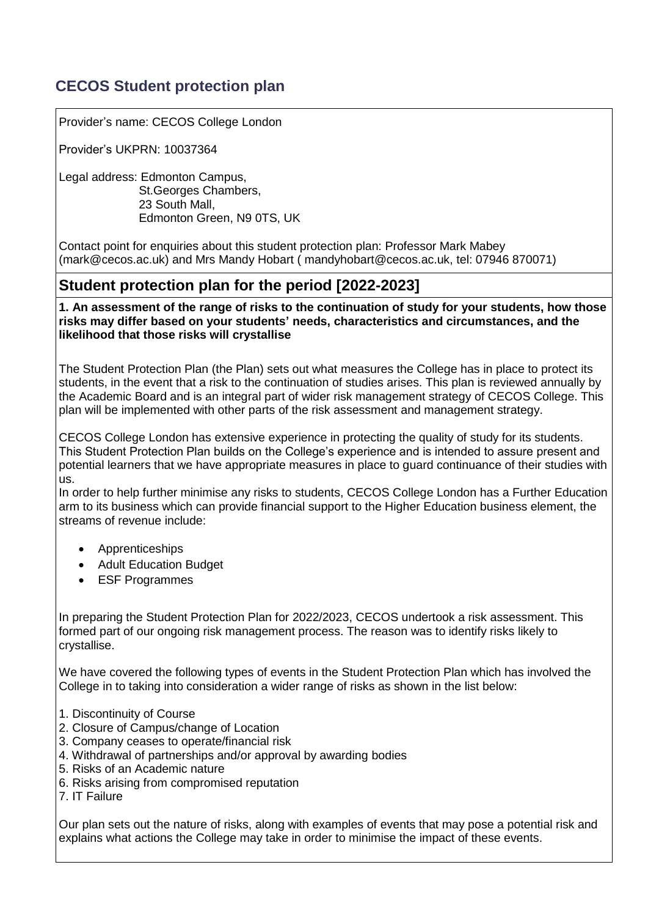# **CECOS Student protection plan**

Provider's name: CECOS College London

Provider's UKPRN: 10037364

Legal address: Edmonton Campus, St.Georges Chambers, 23 South Mall, Edmonton Green, N9 0TS, UK

Contact point for enquiries about this student protection plan: Professor Mark Mabey [\(mark@cecos.ac.uk\)](mailto:mark@cecos.ac.uk) and Mrs Mandy Hobart ( mandyhobart@cecos.ac.uk, tel: 07946 870071)

## **Student protection plan for the period [2022-2023]**

**1. An assessment of the range of risks to the continuation of study for your students, how those risks may differ based on your students' needs, characteristics and circumstances, and the likelihood that those risks will crystallise**

The Student Protection Plan (the Plan) sets out what measures the College has in place to protect its students, in the event that a risk to the continuation of studies arises. This plan is reviewed annually by the Academic Board and is an integral part of wider risk management strategy of CECOS College. This plan will be implemented with other parts of the risk assessment and management strategy.

CECOS College London has extensive experience in protecting the quality of study for its students. This Student Protection Plan builds on the College's experience and is intended to assure present and potential learners that we have appropriate measures in place to guard continuance of their studies with us.

In order to help further minimise any risks to students, CECOS College London has a Further Education arm to its business which can provide financial support to the Higher Education business element, the streams of revenue include:

- Apprenticeships
- Adult Education Budget
- ESF Programmes

In preparing the Student Protection Plan for 2022/2023, CECOS undertook a risk assessment. This formed part of our ongoing risk management process. The reason was to identify risks likely to crystallise.

We have covered the following types of events in the Student Protection Plan which has involved the College in to taking into consideration a wider range of risks as shown in the list below:

- 1. Discontinuity of Course
- 2. Closure of Campus/change of Location
- 3. Company ceases to operate/financial risk
- 4. Withdrawal of partnerships and/or approval by awarding bodies
- 5. Risks of an Academic nature
- 6. Risks arising from compromised reputation
- 7. IT Failure

Our plan sets out the nature of risks, along with examples of events that may pose a potential risk and explains what actions the College may take in order to minimise the impact of these events.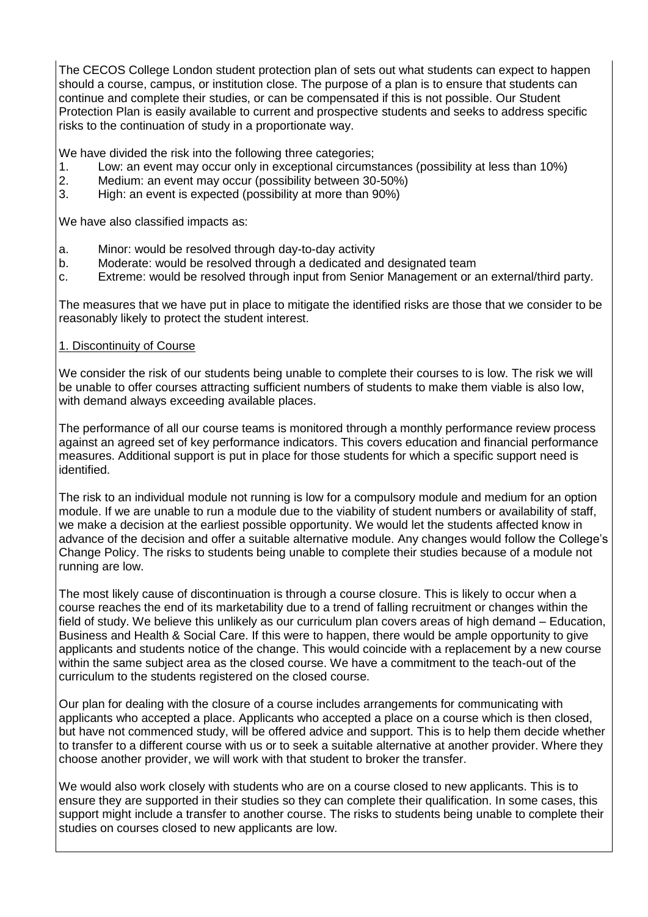The CECOS College London student protection plan of sets out what students can expect to happen should a course, campus, or institution close. The purpose of a plan is to ensure that students can continue and complete their studies, or can be compensated if this is not possible. Our Student Protection Plan is easily available to current and prospective students and seeks to address specific risks to the continuation of study in a proportionate way.

We have divided the risk into the following three categories:

- 1. Low: an event may occur only in exceptional circumstances (possibility at less than 10%)
- 2. Medium: an event may occur (possibility between 30-50%)
- 3. High: an event is expected (possibility at more than 90%)

We have also classified impacts as:

- a. Minor: would be resolved through day-to-day activity
- b. Moderate: would be resolved through a dedicated and designated team
- c. Extreme: would be resolved through input from Senior Management or an external/third party.

The measures that we have put in place to mitigate the identified risks are those that we consider to be reasonably likely to protect the student interest.

## 1. Discontinuity of Course

We consider the risk of our students being unable to complete their courses to is low. The risk we will be unable to offer courses attracting sufficient numbers of students to make them viable is also low, with demand always exceeding available places.

The performance of all our course teams is monitored through a monthly performance review process against an agreed set of key performance indicators. This covers education and financial performance measures. Additional support is put in place for those students for which a specific support need is identified.

The risk to an individual module not running is low for a compulsory module and medium for an option module. If we are unable to run a module due to the viability of student numbers or availability of staff, we make a decision at the earliest possible opportunity. We would let the students affected know in advance of the decision and offer a suitable alternative module. Any changes would follow the College's Change Policy. The risks to students being unable to complete their studies because of a module not running are low.

The most likely cause of discontinuation is through a course closure. This is likely to occur when a course reaches the end of its marketability due to a trend of falling recruitment or changes within the field of study. We believe this unlikely as our curriculum plan covers areas of high demand – Education, Business and Health & Social Care. If this were to happen, there would be ample opportunity to give applicants and students notice of the change. This would coincide with a replacement by a new course within the same subject area as the closed course. We have a commitment to the teach-out of the curriculum to the students registered on the closed course.

Our plan for dealing with the closure of a course includes arrangements for communicating with applicants who accepted a place. Applicants who accepted a place on a course which is then closed, but have not commenced study, will be offered advice and support. This is to help them decide whether to transfer to a different course with us or to seek a suitable alternative at another provider. Where they choose another provider, we will work with that student to broker the transfer.

We would also work closely with students who are on a course closed to new applicants. This is to ensure they are supported in their studies so they can complete their qualification. In some cases, this support might include a transfer to another course. The risks to students being unable to complete their studies on courses closed to new applicants are low.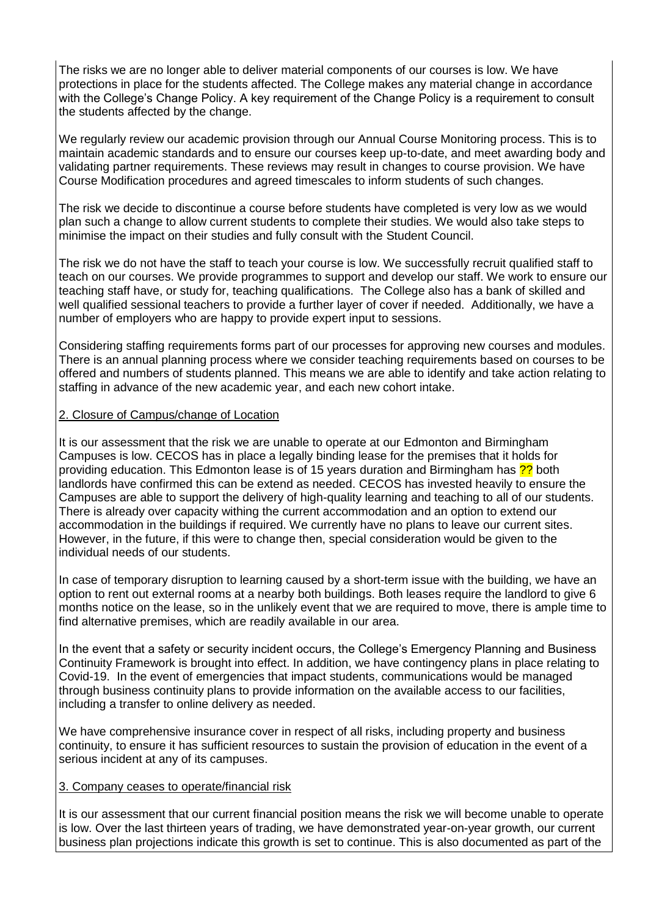The risks we are no longer able to deliver material components of our courses is low. We have protections in place for the students affected. The College makes any material change in accordance with the College's Change Policy. A key requirement of the Change Policy is a requirement to consult the students affected by the change.

We regularly review our academic provision through our Annual Course Monitoring process. This is to maintain academic standards and to ensure our courses keep up-to-date, and meet awarding body and validating partner requirements. These reviews may result in changes to course provision. We have Course Modification procedures and agreed timescales to inform students of such changes.

The risk we decide to discontinue a course before students have completed is very low as we would plan such a change to allow current students to complete their studies. We would also take steps to minimise the impact on their studies and fully consult with the Student Council.

The risk we do not have the staff to teach your course is low. We successfully recruit qualified staff to teach on our courses. We provide programmes to support and develop our staff. We work to ensure our teaching staff have, or study for, teaching qualifications. The College also has a bank of skilled and well qualified sessional teachers to provide a further layer of cover if needed. Additionally, we have a number of employers who are happy to provide expert input to sessions.

Considering staffing requirements forms part of our processes for approving new courses and modules. There is an annual planning process where we consider teaching requirements based on courses to be offered and numbers of students planned. This means we are able to identify and take action relating to staffing in advance of the new academic year, and each new cohort intake.

## 2. Closure of Campus/change of Location

It is our assessment that the risk we are unable to operate at our Edmonton and Birmingham Campuses is low. CECOS has in place a legally binding lease for the premises that it holds for providing education. This Edmonton lease is of 15 years duration and Birmingham has <sup>22</sup> both landlords have confirmed this can be extend as needed. CECOS has invested heavily to ensure the Campuses are able to support the delivery of high-quality learning and teaching to all of our students. There is already over capacity withing the current accommodation and an option to extend our accommodation in the buildings if required. We currently have no plans to leave our current sites. However, in the future, if this were to change then, special consideration would be given to the individual needs of our students.

In case of temporary disruption to learning caused by a short-term issue with the building, we have an option to rent out external rooms at a nearby both buildings. Both leases require the landlord to give 6 months notice on the lease, so in the unlikely event that we are required to move, there is ample time to find alternative premises, which are readily available in our area.

In the event that a safety or security incident occurs, the College's Emergency Planning and Business Continuity Framework is brought into effect. In addition, we have contingency plans in place relating to Covid-19. In the event of emergencies that impact students, communications would be managed through business continuity plans to provide information on the available access to our facilities, including a transfer to online delivery as needed.

We have comprehensive insurance cover in respect of all risks, including property and business continuity, to ensure it has sufficient resources to sustain the provision of education in the event of a serious incident at any of its campuses.

#### 3. Company ceases to operate/financial risk

It is our assessment that our current financial position means the risk we will become unable to operate is low. Over the last thirteen years of trading, we have demonstrated year-on-year growth, our current business plan projections indicate this growth is set to continue. This is also documented as part of the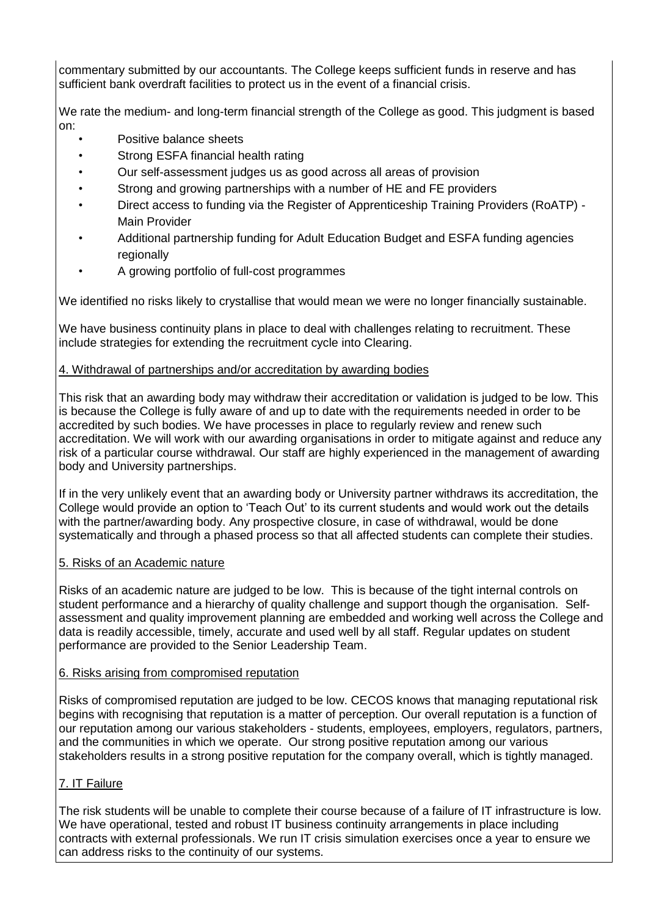commentary submitted by our accountants. The College keeps sufficient funds in reserve and has sufficient bank overdraft facilities to protect us in the event of a financial crisis.

We rate the medium- and long-term financial strength of the College as good. This judgment is based on:

- Positive balance sheets
- Strong ESFA financial health rating
- Our self-assessment judges us as good across all areas of provision
- Strong and growing partnerships with a number of HE and FE providers
- Direct access to funding via the Register of Apprenticeship Training Providers (RoATP) Main Provider
- Additional partnership funding for Adult Education Budget and ESFA funding agencies regionally
- A growing portfolio of full-cost programmes

We identified no risks likely to crystallise that would mean we were no longer financially sustainable.

We have business continuity plans in place to deal with challenges relating to recruitment. These include strategies for extending the recruitment cycle into Clearing.

## 4. Withdrawal of partnerships and/or accreditation by awarding bodies

This risk that an awarding body may withdraw their accreditation or validation is judged to be low. This is because the College is fully aware of and up to date with the requirements needed in order to be accredited by such bodies. We have processes in place to regularly review and renew such accreditation. We will work with our awarding organisations in order to mitigate against and reduce any risk of a particular course withdrawal. Our staff are highly experienced in the management of awarding body and University partnerships.

If in the very unlikely event that an awarding body or University partner withdraws its accreditation, the College would provide an option to 'Teach Out' to its current students and would work out the details with the partner/awarding body. Any prospective closure, in case of withdrawal, would be done systematically and through a phased process so that all affected students can complete their studies.

#### 5. Risks of an Academic nature

Risks of an academic nature are judged to be low. This is because of the tight internal controls on student performance and a hierarchy of quality challenge and support though the organisation. Selfassessment and quality improvement planning are embedded and working well across the College and data is readily accessible, timely, accurate and used well by all staff. Regular updates on student performance are provided to the Senior Leadership Team.

#### 6. Risks arising from compromised reputation

Risks of compromised reputation are judged to be low. CECOS knows that managing reputational risk begins with recognising that reputation is a matter of perception. Our overall reputation is a function of our reputation among our various stakeholders - students, employees, employers, regulators, partners, and the communities in which we operate. Our strong positive reputation among our various stakeholders results in a strong positive reputation for the company overall, which is tightly managed.

## 7. IT Failure

The risk students will be unable to complete their course because of a failure of IT infrastructure is low. We have operational, tested and robust IT business continuity arrangements in place including contracts with external professionals. We run IT crisis simulation exercises once a year to ensure we can address risks to the continuity of our systems.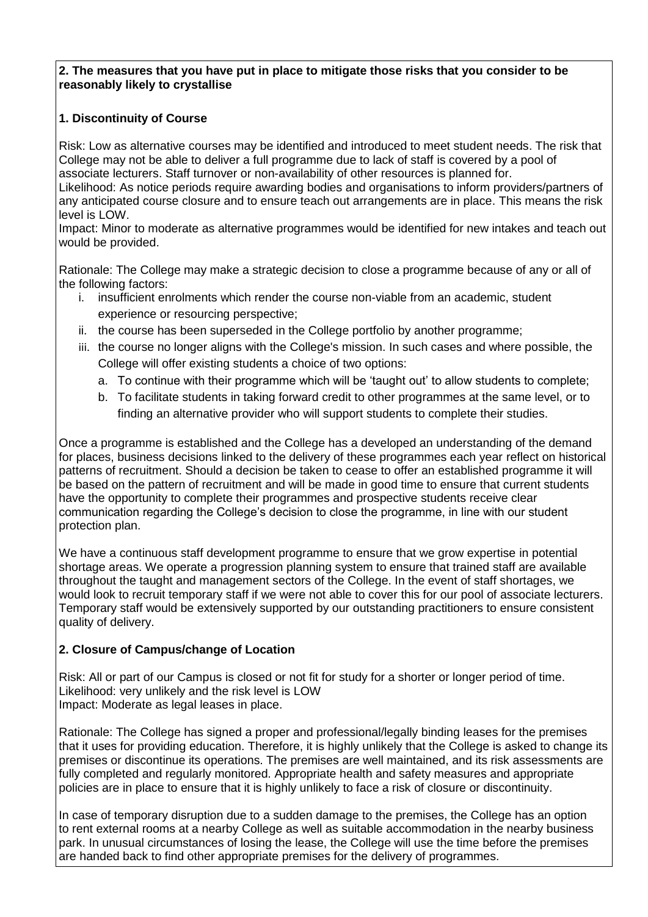#### **2. The measures that you have put in place to mitigate those risks that you consider to be reasonably likely to crystallise**

## **1. Discontinuity of Course**

Risk: Low as alternative courses may be identified and introduced to meet student needs. The risk that College may not be able to deliver a full programme due to lack of staff is covered by a pool of associate lecturers. Staff turnover or non-availability of other resources is planned for.

Likelihood: As notice periods require awarding bodies and organisations to inform providers/partners of any anticipated course closure and to ensure teach out arrangements are in place. This means the risk level is LOW.

Impact: Minor to moderate as alternative programmes would be identified for new intakes and teach out would be provided.

Rationale: The College may make a strategic decision to close a programme because of any or all of the following factors:

- i. insufficient enrolments which render the course non-viable from an academic, student experience or resourcing perspective;
- ii. the course has been superseded in the College portfolio by another programme;
- iii. the course no longer aligns with the College's mission. In such cases and where possible, the College will offer existing students a choice of two options:
	- a. To continue with their programme which will be 'taught out' to allow students to complete;
	- b. To facilitate students in taking forward credit to other programmes at the same level, or to finding an alternative provider who will support students to complete their studies.

Once a programme is established and the College has a developed an understanding of the demand for places, business decisions linked to the delivery of these programmes each year reflect on historical patterns of recruitment. Should a decision be taken to cease to offer an established programme it will be based on the pattern of recruitment and will be made in good time to ensure that current students have the opportunity to complete their programmes and prospective students receive clear communication regarding the College's decision to close the programme, in line with our student protection plan.

We have a continuous staff development programme to ensure that we grow expertise in potential shortage areas. We operate a progression planning system to ensure that trained staff are available throughout the taught and management sectors of the College. In the event of staff shortages, we would look to recruit temporary staff if we were not able to cover this for our pool of associate lecturers. Temporary staff would be extensively supported by our outstanding practitioners to ensure consistent quality of delivery.

## **2. Closure of Campus/change of Location**

Risk: All or part of our Campus is closed or not fit for study for a shorter or longer period of time. Likelihood: very unlikely and the risk level is LOW Impact: Moderate as legal leases in place.

Rationale: The College has signed a proper and professional/legally binding leases for the premises that it uses for providing education. Therefore, it is highly unlikely that the College is asked to change its premises or discontinue its operations. The premises are well maintained, and its risk assessments are fully completed and regularly monitored. Appropriate health and safety measures and appropriate policies are in place to ensure that it is highly unlikely to face a risk of closure or discontinuity.

In case of temporary disruption due to a sudden damage to the premises, the College has an option to rent external rooms at a nearby College as well as suitable accommodation in the nearby business park. In unusual circumstances of losing the lease, the College will use the time before the premises are handed back to find other appropriate premises for the delivery of programmes.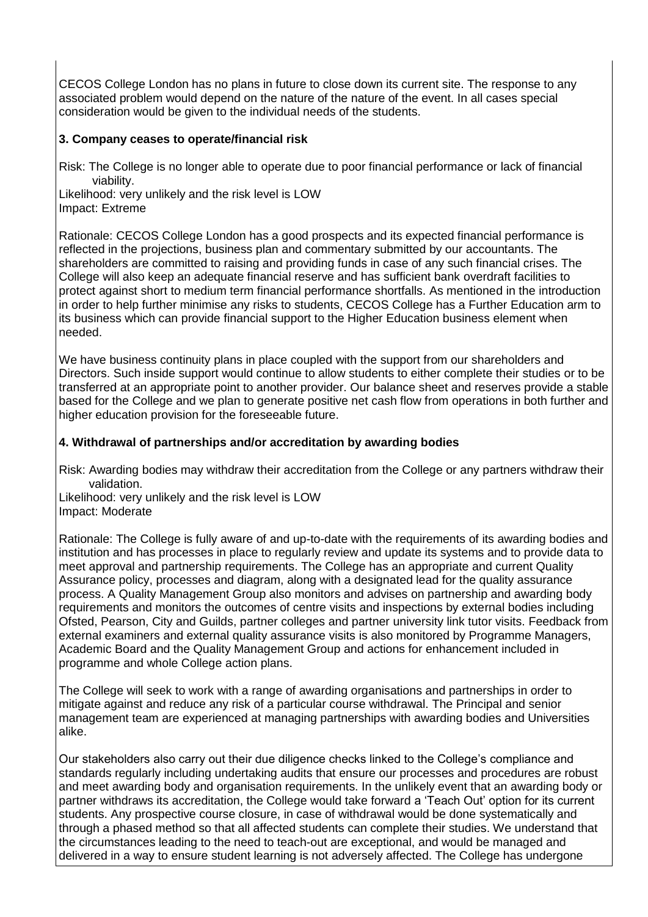CECOS College London has no plans in future to close down its current site. The response to any associated problem would depend on the nature of the nature of the event. In all cases special consideration would be given to the individual needs of the students.

## **3. Company ceases to operate/financial risk**

Risk: The College is no longer able to operate due to poor financial performance or lack of financial viability.

Likelihood: very unlikely and the risk level is LOW Impact: Extreme

Rationale: CECOS College London has a good prospects and its expected financial performance is reflected in the projections, business plan and commentary submitted by our accountants. The shareholders are committed to raising and providing funds in case of any such financial crises. The College will also keep an adequate financial reserve and has sufficient bank overdraft facilities to protect against short to medium term financial performance shortfalls. As mentioned in the introduction in order to help further minimise any risks to students, CECOS College has a Further Education arm to its business which can provide financial support to the Higher Education business element when needed.

We have business continuity plans in place coupled with the support from our shareholders and Directors. Such inside support would continue to allow students to either complete their studies or to be transferred at an appropriate point to another provider. Our balance sheet and reserves provide a stable based for the College and we plan to generate positive net cash flow from operations in both further and higher education provision for the foreseeable future.

#### **4. Withdrawal of partnerships and/or accreditation by awarding bodies**

Risk: Awarding bodies may withdraw their accreditation from the College or any partners withdraw their validation.

Likelihood: very unlikely and the risk level is LOW Impact: Moderate

Rationale: The College is fully aware of and up-to-date with the requirements of its awarding bodies and institution and has processes in place to regularly review and update its systems and to provide data to meet approval and partnership requirements. The College has an appropriate and current Quality Assurance policy, processes and diagram, along with a designated lead for the quality assurance process. A Quality Management Group also monitors and advises on partnership and awarding body requirements and monitors the outcomes of centre visits and inspections by external bodies including Ofsted, Pearson, City and Guilds, partner colleges and partner university link tutor visits. Feedback from external examiners and external quality assurance visits is also monitored by Programme Managers, Academic Board and the Quality Management Group and actions for enhancement included in programme and whole College action plans.

The College will seek to work with a range of awarding organisations and partnerships in order to mitigate against and reduce any risk of a particular course withdrawal. The Principal and senior management team are experienced at managing partnerships with awarding bodies and Universities alike.

Our stakeholders also carry out their due diligence checks linked to the College's compliance and standards regularly including undertaking audits that ensure our processes and procedures are robust and meet awarding body and organisation requirements. In the unlikely event that an awarding body or partner withdraws its accreditation, the College would take forward a 'Teach Out' option for its current students. Any prospective course closure, in case of withdrawal would be done systematically and through a phased method so that all affected students can complete their studies. We understand that the circumstances leading to the need to teach-out are exceptional, and would be managed and delivered in a way to ensure student learning is not adversely affected. The College has undergone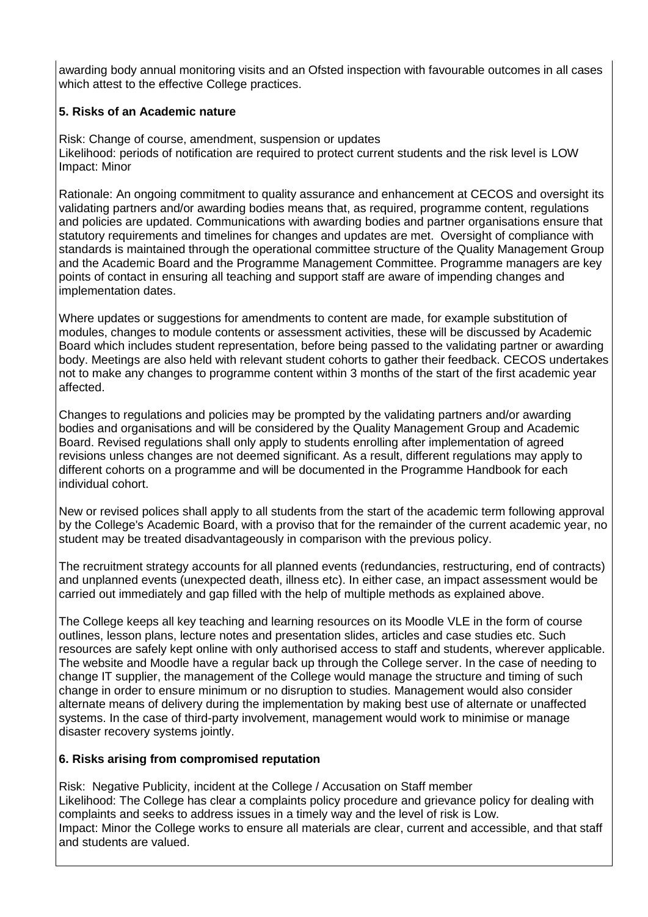awarding body annual monitoring visits and an Ofsted inspection with favourable outcomes in all cases which attest to the effective College practices.

## **5. Risks of an Academic nature**

Risk: Change of course, amendment, suspension or updates Likelihood: periods of notification are required to protect current students and the risk level is LOW Impact: Minor

Rationale: An ongoing commitment to quality assurance and enhancement at CECOS and oversight its validating partners and/or awarding bodies means that, as required, programme content, regulations and policies are updated. Communications with awarding bodies and partner organisations ensure that statutory requirements and timelines for changes and updates are met. Oversight of compliance with standards is maintained through the operational committee structure of the Quality Management Group and the Academic Board and the Programme Management Committee. Programme managers are key points of contact in ensuring all teaching and support staff are aware of impending changes and implementation dates.

Where updates or suggestions for amendments to content are made, for example substitution of modules, changes to module contents or assessment activities, these will be discussed by Academic Board which includes student representation, before being passed to the validating partner or awarding body. Meetings are also held with relevant student cohorts to gather their feedback. CECOS undertakes not to make any changes to programme content within 3 months of the start of the first academic year affected.

Changes to regulations and policies may be prompted by the validating partners and/or awarding bodies and organisations and will be considered by the Quality Management Group and Academic Board. Revised regulations shall only apply to students enrolling after implementation of agreed revisions unless changes are not deemed significant. As a result, different regulations may apply to different cohorts on a programme and will be documented in the Programme Handbook for each individual cohort.

New or revised polices shall apply to all students from the start of the academic term following approval by the College's Academic Board, with a proviso that for the remainder of the current academic year, no student may be treated disadvantageously in comparison with the previous policy.

The recruitment strategy accounts for all planned events (redundancies, restructuring, end of contracts) and unplanned events (unexpected death, illness etc). In either case, an impact assessment would be carried out immediately and gap filled with the help of multiple methods as explained above.

The College keeps all key teaching and learning resources on its Moodle VLE in the form of course outlines, lesson plans, lecture notes and presentation slides, articles and case studies etc. Such resources are safely kept online with only authorised access to staff and students, wherever applicable. The website and Moodle have a regular back up through the College server. In the case of needing to change IT supplier, the management of the College would manage the structure and timing of such change in order to ensure minimum or no disruption to studies. Management would also consider alternate means of delivery during the implementation by making best use of alternate or unaffected systems. In the case of third-party involvement, management would work to minimise or manage disaster recovery systems jointly.

## **6. Risks arising from compromised reputation**

Risk: Negative Publicity, incident at the College / Accusation on Staff member Likelihood: The College has clear a complaints policy procedure and grievance policy for dealing with complaints and seeks to address issues in a timely way and the level of risk is Low. Impact: Minor the College works to ensure all materials are clear, current and accessible, and that staff and students are valued.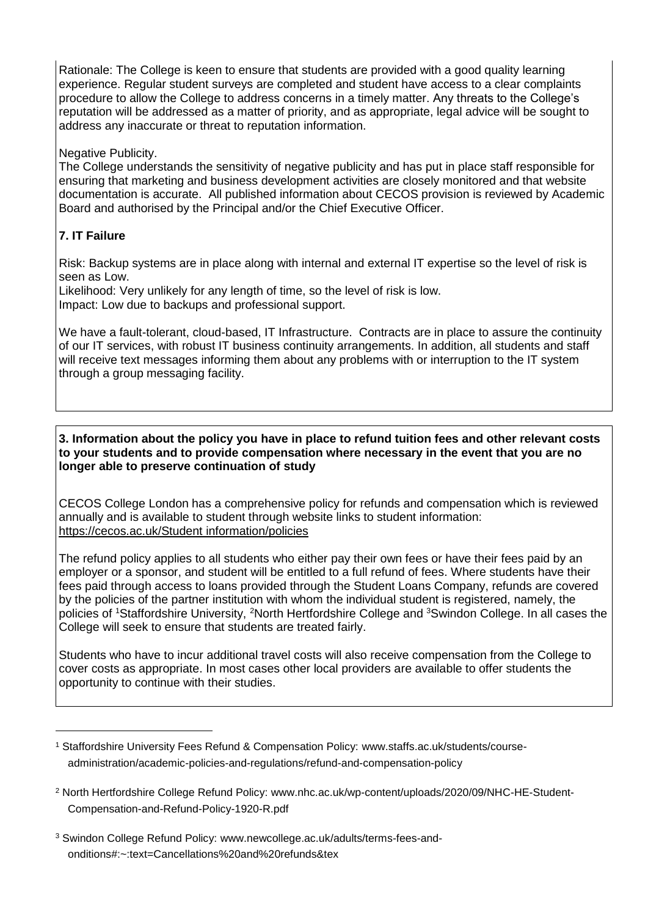Rationale: The College is keen to ensure that students are provided with a good quality learning experience. Regular student surveys are completed and student have access to a clear complaints procedure to allow the College to address concerns in a timely matter. Any threats to the College's reputation will be addressed as a matter of priority, and as appropriate, legal advice will be sought to address any inaccurate or threat to reputation information.

Negative Publicity.

The College understands the sensitivity of negative publicity and has put in place staff responsible for ensuring that marketing and business development activities are closely monitored and that website documentation is accurate. All published information about CECOS provision is reviewed by Academic Board and authorised by the Principal and/or the Chief Executive Officer.

## **7. IT Failure**

-

Risk: Backup systems are in place along with internal and external IT expertise so the level of risk is seen as Low.

Likelihood: Very unlikely for any length of time, so the level of risk is low. Impact: Low due to backups and professional support.

We have a fault-tolerant, cloud-based, IT Infrastructure. Contracts are in place to assure the continuity of our IT services, with robust IT business continuity arrangements. In addition, all students and staff will receive text messages informing them about any problems with or interruption to the IT system through a group messaging facility.

#### **3. Information about the policy you have in place to refund tuition fees and other relevant costs to your students and to provide compensation where necessary in the event that you are no longer able to preserve continuation of study**

CECOS College London has a comprehensive policy for refunds and compensation which is reviewed annually and is available to student through website links to student information: <https://cecos.ac.uk/Student> information/policies

The refund policy applies to all students who either pay their own fees or have their fees paid by an employer or a sponsor, and student will be entitled to a full refund of fees. Where students have their fees paid through access to loans provided through the Student Loans Company, refunds are covered by the policies of the partner institution with whom the individual student is registered, namely, the policies of <sup>1</sup>Staffordshire University, <sup>2</sup>North Hertfordshire College and <sup>3</sup>Swindon College. In all cases the College will seek to ensure that students are treated fairly.

Students who have to incur additional travel costs will also receive compensation from the College to cover costs as appropriate. In most cases other local providers are available to offer students the opportunity to continue with their studies.

<sup>1</sup> Staffordshire University Fees Refund & Compensation Policy: [www.staffs.ac.uk/students/course](http://www.staffs.ac.uk/students/course-administration/academic-policies-and-regulations/refund-and-compensation-policy)[administration/academic-policies-and-regulations/refund-and-compensation-policy](http://www.staffs.ac.uk/students/course-administration/academic-policies-and-regulations/refund-and-compensation-policy)

<sup>2</sup> North Hertfordshire College Refund Policy: [www.nhc.ac.uk/wp-content/uploads/2020/09/NHC-HE-Student-](http://www.nhc.ac.uk/wp-content/uploads/2020/09/NHC-HE-Student-Compensation-and-Refund-Policy-1920-R.pdf)[Compensation-and-Refund-Policy-1920-R.pdf](http://www.nhc.ac.uk/wp-content/uploads/2020/09/NHC-HE-Student-Compensation-and-Refund-Policy-1920-R.pdf)

<sup>3</sup> Swindon College Refund Policy: [www.newcollege.ac.uk/adults/terms-fees-and](http://www.newcollege.ac.uk/adults/terms-fees-and-onditions#:~:text=Cancellations%20and%20refunds&tex)[onditions#:~:text=Cancellations%20and%20refunds&tex](http://www.newcollege.ac.uk/adults/terms-fees-and-onditions#:~:text=Cancellations%20and%20refunds&tex)